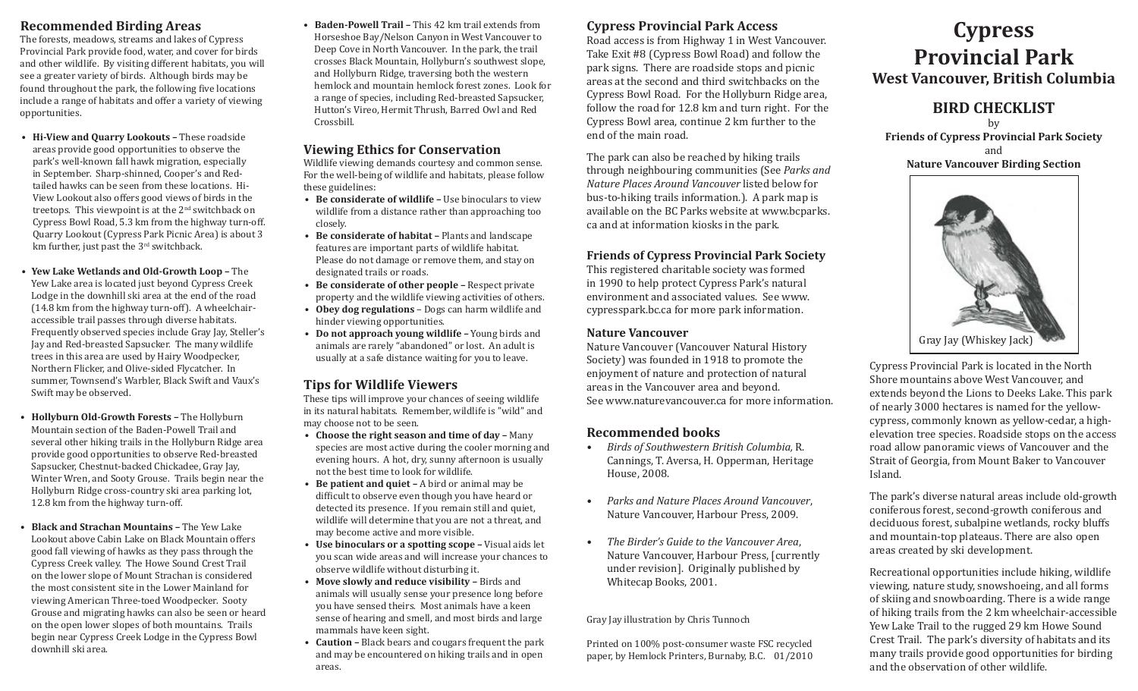## **Recommended Birding Areas**

The forests, meadows, streams and lakes of Cypress Provincial Park provide food, water, and cover for birds and other wildlife. By visiting different habitats, you will see a greater variety of birds. Although birds may be found throughout the park, the following five locations include a range of habitats and offer a variety of viewing opportunities.

- **• Hi-View and Quarry Lookouts** These roadside areas provide good opportunities to observe the park's well-known fall hawk migration, especially in September. Sharp-shinned, Cooper's and Redtailed hawks can be seen from these locations. Hi-View Lookout also offers good views of birds in the treetops. This viewpoint is at the  $2<sup>nd</sup>$  switchback on Cypress Bowl Road, 5.3 km from the highway turn-off. Quarry Lookout (Cypress Park Picnic Area) is about 3 km further, just past the 3<sup>rd</sup> switchback.
- **• Yew Lake Wetlands and Old-Growth Loop** The Yew Lake area is located just beyond Cypress Creek Lodge in the downhill ski area at the end of the road (14.8 km from the highway turn-off). A wheelchairaccessible trail passes through diverse habitats. Frequently observed species include Gray Jay, Steller's Jay and Red-breasted Sapsucker. The many wildlife trees in this area are used by Hairy Woodpecker, Northern Flicker, and Olive-sided Flycatcher. In summer, Townsend's Warbler, Black Swift and Vaux's Swift may be observed.
- **• Hollyburn Old-Growth Forests** The Hollyburn Mountain section of the Baden-Powell Trail and several other hiking trails in the Hollyburn Ridge area provide good opportunities to observe Red-breasted Sapsucker, Chestnut-backed Chickadee, Gray Jay, Winter Wren, and Sooty Grouse. Trails begin near the Hollyburn Ridge cross-country ski area parking lot, 12.8 km from the highway turn-off.
- **• Black and Strachan Mountains** The Yew Lake Lookout above Cabin Lake on Black Mountain offers good fall viewing of hawks as they pass through the Cypress Creek valley. The Howe Sound Crest Trail on the lower slope of Mount Strachan is considered the most consistent site in the Lower Mainland for viewing American Three-toed Woodpecker. Sooty Grouse and migrating hawks can also be seen or heard on the open lower slopes of both mountains. Trails begin near Cypress Creek Lodge in the Cypress Bowl downhill ski area.

**• Baden-Powell Trail –** This 42 km trail extends from Horseshoe Bay/Nelson Canyon in West Vancouver to Deep Cove in North Vancouver. In the park, the trail crosses Black Mountain, Hollyburn's southwest slope, and Hollyburn Ridge, traversing both the western hemlock and mountain hemlock forest zones. Look for a range of species, including Red-breasted Sapsucker, Hutton's Vireo, Hermit Thrush, Barred Owl and Red Crossbill.

## **Viewing Ethics for Conservation**

Wildlife viewing demands courtesy and common sense. For the well-being of wildlife and habitats, please follow these guidelines:

- **• Be considerate of wildlife** Use binoculars to view wildlife from a distance rather than approaching too closely.
- **• Be considerate of habitat** Plants and landscape features are important parts of wildlife habitat. Please do not damage or remove them, and stay on designated trails or roads.
- **• Be considerate of other people** Respect private property and the wildlife viewing activities of others.
- **• Obey dog regulations** Dogs can harm wildlife and hinder viewing opportunities.
- **• Do not approach young wildlife** Young birds and animals are rarely "abandoned" or lost. An adult is usually at a safe distance waiting for you to leave.

# **Tips for Wildlife Viewers**

These tips will improve your chances of seeing wildlife in its natural habitats. Remember, wildlife is "wild" and may choose not to be seen.

- **• Choose the right season and time of day –** Many species are most active during the cooler morning and evening hours. A hot, dry, sunny afternoon is usually not the best time to look for wildlife.
- **• Be patient and quiet –** A bird or animal may be difficult to observe even though you have heard or detected its presence. If you remain still and quiet, wildlife will determine that you are not a threat, and may become active and more visible.
- **Use binoculars or a spotting scope Visual aids let** you scan wide areas and will increase your chances to observe wildlife without disturbing it.
- **Move slowly and reduce visibility Birds and** animals will usually sense your presence long before you have sensed theirs. Most animals have a keen sense of hearing and smell, and most birds and large mammals have keen sight.
- **Caution –** Black bears and cougars frequent the park and may be encountered on hiking trails and in open areas.

# **Cypress Provincial Park Access**

Road access is from Highway 1 in West Vancouver. Take Exit #8 (Cypress Bowl Road) and follow the park signs. There are roadside stops and picnic areas at the second and third switchbacks on the Cypress Bowl Road. For the Hollyburn Ridge area, follow the road for 12.8 km and turn right. For the Cypress Bowl area, continue 2 km further to the end of the main road.

The park can also be reached by hiking trails through neighbouring communities (See *Parks and Nature Places Around Vancouver* listed below for bus-to-hiking trails information.). A park map is available on the BC Parks website at www.bcparks. ca and at information kiosks in the park.

# **Friends of Cypress Provincial Park Society**

This registered charitable society was formed in 1990 to help protect Cypress Park's natural environment and associated values. See www. cypresspark.bc.ca for more park information.

### **Nature Vancouver**

Nature Vancouver (Vancouver Natural History Society) was founded in 1918 to promote the enjoyment of nature and protection of natural areas in the Vancouver area and beyond. See www.naturevancouver.ca for more information.

# **Recommended books**

- *• Birds of Southwestern British Columbia,* R. Cannings, T. Aversa, H. Opperman, Heritage House, 2008.
- *• Parks and Nature Places Around Vancouver*, Nature Vancouver, Harbour Press, 2009.
- *• The Birder's Guide to the Vancouver Area*, Nature Vancouver, Harbour Press, [currently under revision]. Originally published by Whitecap Books, 2001.

### Gray Jay illustration by Chris Tunnoch

Printed on 100% post-consumer waste FSC recycled paper, by Hemlock Printers, Burnaby, B.C. 01/2010

# **Cypress Provincial Park West Vancouver, British Columbia**

# **BIRD CHECKLIST**

by **Friends of Cypress Provincial Park Society** and **Nature Vancouver Birding Section**



Cypress Provincial Park is located in the North Shore mountains above West Vancouver, and extends beyond the Lions to Deeks Lake. This park of nearly 3000 hectares is named for the yellowcypress, commonly known as yellow-cedar, a highelevation tree species. Roadside stops on the access road allow panoramic views of Vancouver and the Strait of Georgia, from Mount Baker to Vancouver Island.

The park's diverse natural areas include old-growth coniferous forest, second-growth coniferous and deciduous forest, subalpine wetlands, rocky bluffs and mountain-top plateaus. There are also open areas created by ski development.

Recreational opportunities include hiking, wildlife viewing, nature study, snowshoeing, and all forms of skiing and snowboarding. There is a wide range of hiking trails from the 2 km wheelchair-accessible Yew Lake Trail to the rugged 29 km Howe Sound Crest Trail. The park's diversity of habitats and its many trails provide good opportunities for birding and the observation of other wildlife.